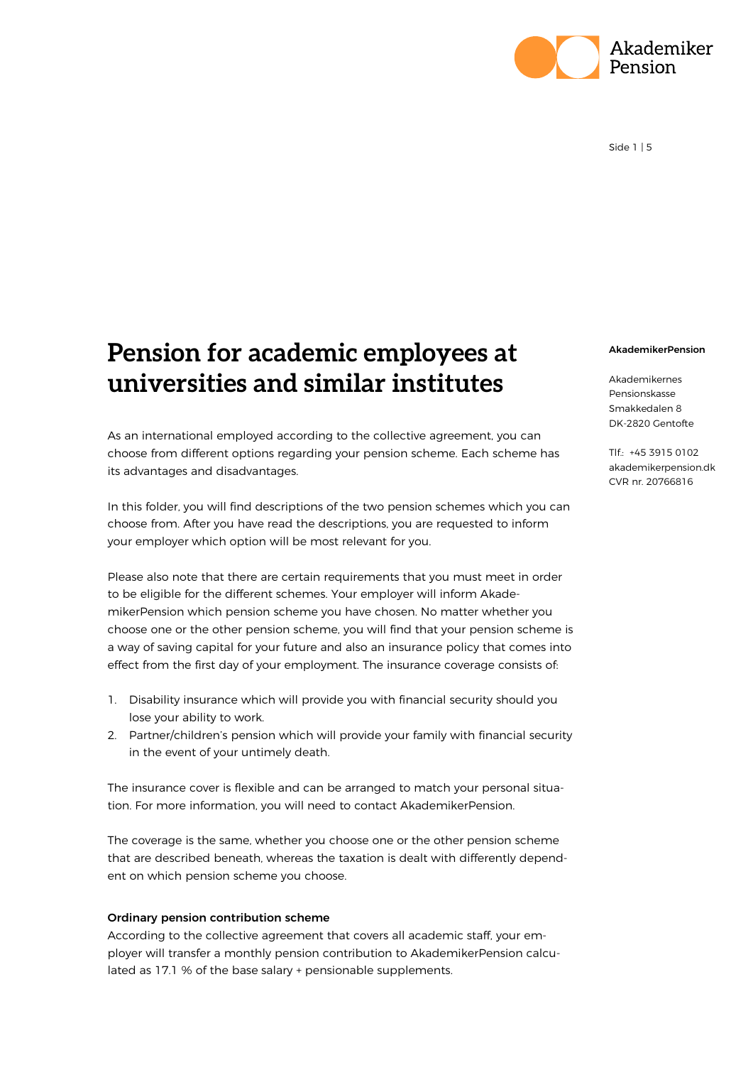

# **Pension for academic employees at universities and similar institutes**

As an international employed according to the collective agreement, you can choose from different options regarding your pension scheme. Each scheme has its advantages and disadvantages.

In this folder, you will find descriptions of the two pension schemes which you can choose from. After you have read the descriptions, you are requested to inform your employer which option will be most relevant for you.

Please also note that there are certain requirements that you must meet in order to be eligible for the different schemes. Your employer will inform AkademikerPension which pension scheme you have chosen. No matter whether you choose one or the other pension scheme, you will find that your pension scheme is a way of saving capital for your future and also an insurance policy that comes into effect from the first day of your employment. The insurance coverage consists of:

- 1. Disability insurance which will provide you with financial security should you lose your ability to work.
- 2. Partner/children's pension which will provide your family with financial security in the event of your untimely death.

The insurance cover is flexible and can be arranged to match your personal situation. For more information, you will need to contact AkademikerPension.

The coverage is the same, whether you choose one or the other pension scheme that are described beneath, whereas the taxation is dealt with differently dependent on which pension scheme you choose.

#### Ordinary pension contribution scheme

According to the collective agreement that covers all academic staff, your employer will transfer a monthly pension contribution to AkademikerPension calculated as 17.1 % of the base salary + pensionable supplements.

#### AkademikerPension

Akademikernes Pensionskasse Smakkedalen 8 DK-2820 Gentofte

Tlf.: +45 3915 0102 akademikerpension.dk CVR nr. 20766816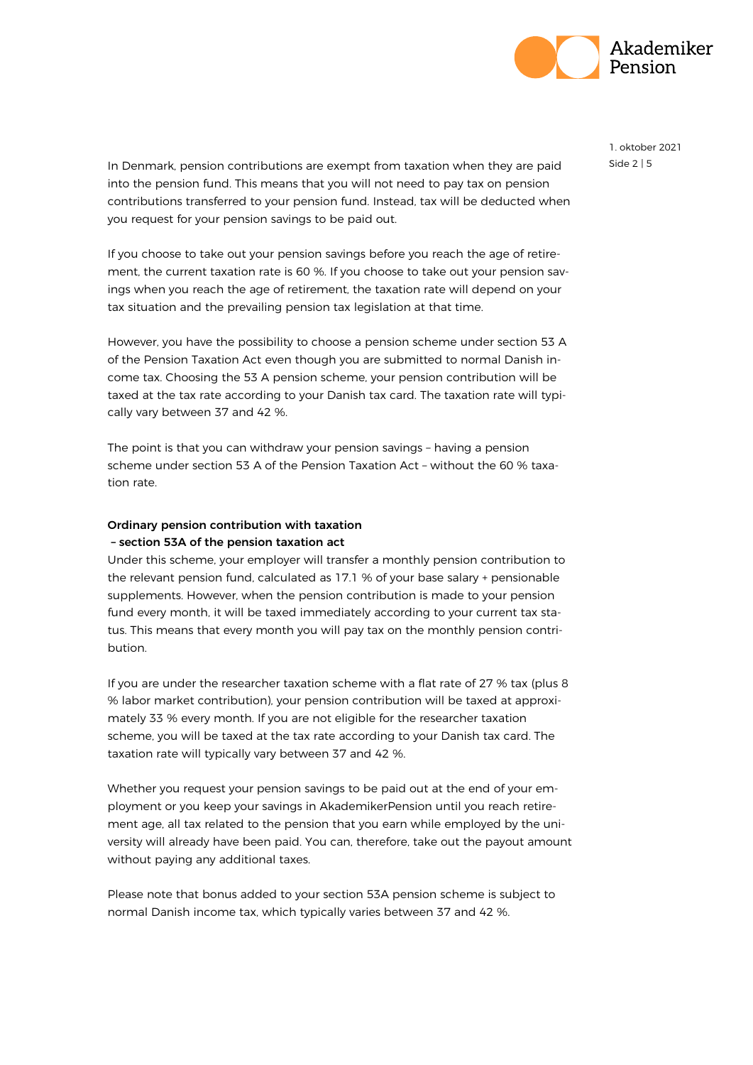

In Denmark, pension contributions are exempt from taxation when they are paid  $\frac{15}{10}$ into the pension fund. This means that you will not need to pay tax on pension contributions transferred to your pension fund. Instead, tax will be deducted when you request for your pension savings to be paid out.

If you choose to take out your pension savings before you reach the age of retirement, the current taxation rate is 60 %. If you choose to take out your pension savings when you reach the age of retirement, the taxation rate will depend on your tax situation and the prevailing pension tax legislation at that time.

However, you have the possibility to choose a pension scheme under section 53 A of the Pension Taxation Act even though you are submitted to normal Danish income tax. Choosing the 53 A pension scheme, your pension contribution will be taxed at the tax rate according to your Danish tax card. The taxation rate will typically vary between 37 and 42 %.

The point is that you can withdraw your pension savings – having a pension scheme under section 53 A of the Pension Taxation Act – without the 60 % taxation rate.

# Ordinary pension contribution with taxation – section 53A of the pension taxation act

Under this scheme, your employer will transfer a monthly pension contribution to the relevant pension fund, calculated as 17.1 % of your base salary + pensionable supplements. However, when the pension contribution is made to your pension fund every month, it will be taxed immediately according to your current tax status. This means that every month you will pay tax on the monthly pension contribution.

If you are under the researcher taxation scheme with a flat rate of 27 % tax (plus 8 % labor market contribution), your pension contribution will be taxed at approximately 33 % every month. If you are not eligible for the researcher taxation scheme, you will be taxed at the tax rate according to your Danish tax card. The taxation rate will typically vary between 37 and 42 %.

Whether you request your pension savings to be paid out at the end of your employment or you keep your savings in AkademikerPension until you reach retirement age, all tax related to the pension that you earn while employed by the university will already have been paid. You can, therefore, take out the payout amount without paying any additional taxes.

Please note that bonus added to your section 53A pension scheme is subject to normal Danish income tax, which typically varies between 37 and 42 %.

1. oktober 2021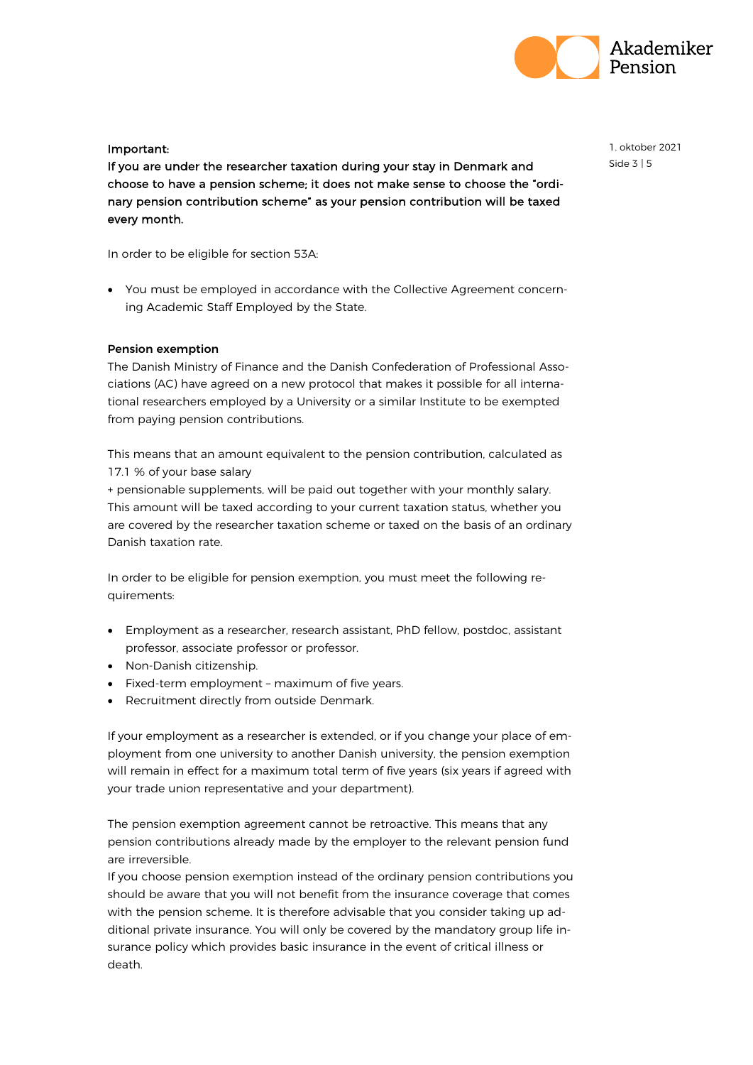

# Important:

If you are under the researcher taxation during your stay in Denmark and choose to have a pension scheme; it does not make sense to choose the "ordinary pension contribution scheme" as your pension contribution will be taxed every month.

In order to be eligible for section 53A:

• You must be employed in accordance with the Collective Agreement concerning Academic Staff Employed by the State.

### Pension exemption

The Danish Ministry of Finance and the Danish Confederation of Professional Associations (AC) have agreed on a new protocol that makes it possible for all international researchers employed by a University or a similar Institute to be exempted from paying pension contributions.

This means that an amount equivalent to the pension contribution, calculated as 17.1 % of your base salary

+ pensionable supplements, will be paid out together with your monthly salary. This amount will be taxed according to your current taxation status, whether you are covered by the researcher taxation scheme or taxed on the basis of an ordinary Danish taxation rate.

In order to be eligible for pension exemption, you must meet the following requirements:

- Employment as a researcher, research assistant, PhD fellow, postdoc, assistant professor, associate professor or professor.
- Non-Danish citizenship.
- Fixed-term employment maximum of five years.
- Recruitment directly from outside Denmark.

If your employment as a researcher is extended, or if you change your place of employment from one university to another Danish university, the pension exemption will remain in effect for a maximum total term of five years (six years if agreed with your trade union representative and your department).

The pension exemption agreement cannot be retroactive. This means that any pension contributions already made by the employer to the relevant pension fund are irreversible.

If you choose pension exemption instead of the ordinary pension contributions you should be aware that you will not benefit from the insurance coverage that comes with the pension scheme. It is therefore advisable that you consider taking up additional private insurance. You will only be covered by the mandatory group life insurance policy which provides basic insurance in the event of critical illness or death.

1. oktober 2021 Side 3 | 5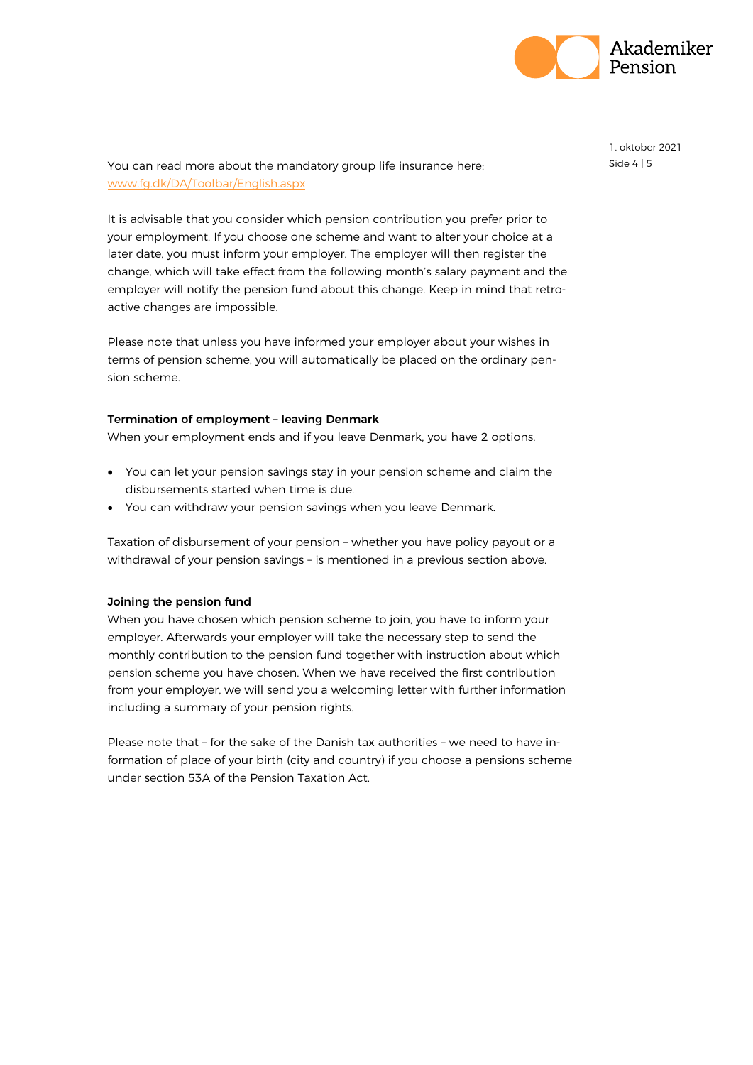

You can read more about the mandatory group life insurance here: Side 4 | 5 [www.fg.dk/DA/Toolbar/English.aspx](http://www.fg.dk/DA/Toolbar/English.aspx)

It is advisable that you consider which pension contribution you prefer prior to your employment. If you choose one scheme and want to alter your choice at a later date, you must inform your employer. The employer will then register the change, which will take effect from the following month's salary payment and the employer will notify the pension fund about this change. Keep in mind that retroactive changes are impossible.

Please note that unless you have informed your employer about your wishes in terms of pension scheme, you will automatically be placed on the ordinary pension scheme.

#### Termination of employment – leaving Denmark

When your employment ends and if you leave Denmark, you have 2 options.

- You can let your pension savings stay in your pension scheme and claim the disbursements started when time is due.
- You can withdraw your pension savings when you leave Denmark.

Taxation of disbursement of your pension – whether you have policy payout or a withdrawal of your pension savings – is mentioned in a previous section above.

#### Joining the pension fund

When you have chosen which pension scheme to join, you have to inform your employer. Afterwards your employer will take the necessary step to send the monthly contribution to the pension fund together with instruction about which pension scheme you have chosen. When we have received the first contribution from your employer, we will send you a welcoming letter with further information including a summary of your pension rights.

Please note that – for the sake of the Danish tax authorities – we need to have information of place of your birth (city and country) if you choose a pensions scheme under section 53A of the Pension Taxation Act.

1. oktober 2021